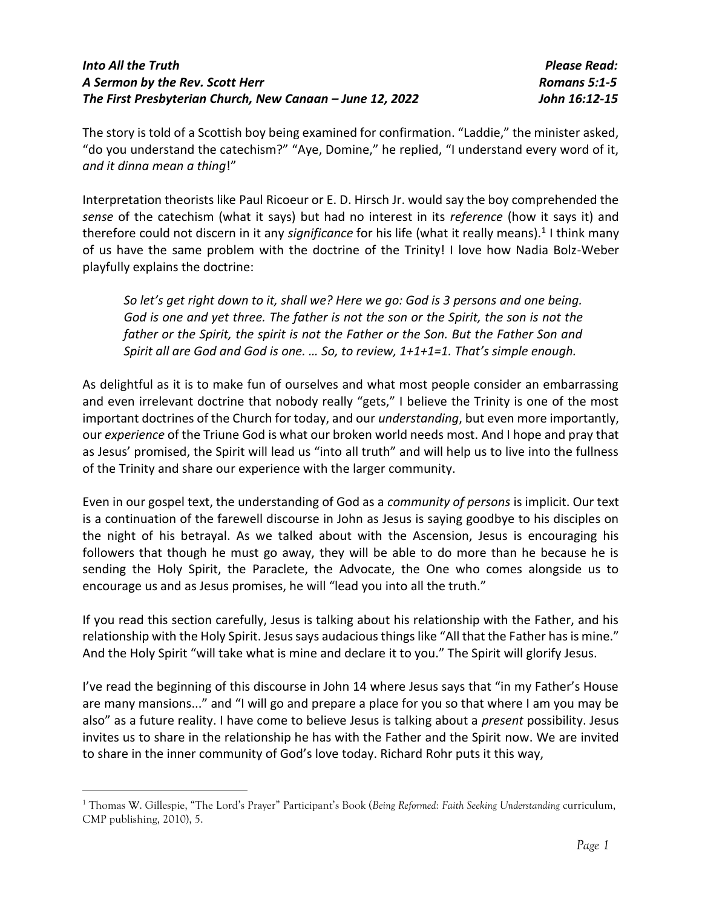The story is told of a Scottish boy being examined for confirmation. "Laddie," the minister asked, "do you understand the catechism?" "Aye, Domine," he replied, "I understand every word of it, *and it dinna mean a thing*!"

Interpretation theorists like Paul Ricoeur or E. D. Hirsch Jr. would say the boy comprehended the *sense* of the catechism (what it says) but had no interest in its *reference* (how it says it) and therefore could not discern in it any significance for his life (what it really means).<sup>1</sup> I think many of us have the same problem with the doctrine of the Trinity! I love how Nadia Bolz-Weber playfully explains the doctrine:

*So let's get right down to it, shall we? Here we go: God is 3 persons and one being. God is one and yet three. The father is not the son or the Spirit, the son is not the father or the Spirit, the spirit is not the Father or the Son. But the Father Son and Spirit all are God and God is one. … So, to review, 1+1+1=1. That's simple enough.*

As delightful as it is to make fun of ourselves and what most people consider an embarrassing and even irrelevant doctrine that nobody really "gets," I believe the Trinity is one of the most important doctrines of the Church for today, and our *understanding*, but even more importantly, our *experience* of the Triune God is what our broken world needs most. And I hope and pray that as Jesus' promised, the Spirit will lead us "into all truth" and will help us to live into the fullness of the Trinity and share our experience with the larger community.

Even in our gospel text, the understanding of God as a *community of persons* is implicit. Our text is a continuation of the farewell discourse in John as Jesus is saying goodbye to his disciples on the night of his betrayal. As we talked about with the Ascension, Jesus is encouraging his followers that though he must go away, they will be able to do more than he because he is sending the Holy Spirit, the Paraclete, the Advocate, the One who comes alongside us to encourage us and as Jesus promises, he will "lead you into all the truth."

If you read this section carefully, Jesus is talking about his relationship with the Father, and his relationship with the Holy Spirit. Jesus says audacious things like "All that the Father has is mine." And the Holy Spirit "will take what is mine and declare it to you." The Spirit will glorify Jesus.

I've read the beginning of this discourse in John 14 where Jesus says that "in my Father's House are many mansions..." and "I will go and prepare a place for you so that where I am you may be also" as a future reality. I have come to believe Jesus is talking about a *present* possibility. Jesus invites us to share in the relationship he has with the Father and the Spirit now. We are invited to share in the inner community of God's love today. Richard Rohr puts it this way,

<sup>1</sup> Thomas W. Gillespie, "The Lord's Prayer" Participant's Book (*Being Reformed: Faith Seeking Understanding* curriculum, CMP publishing, 2010), 5.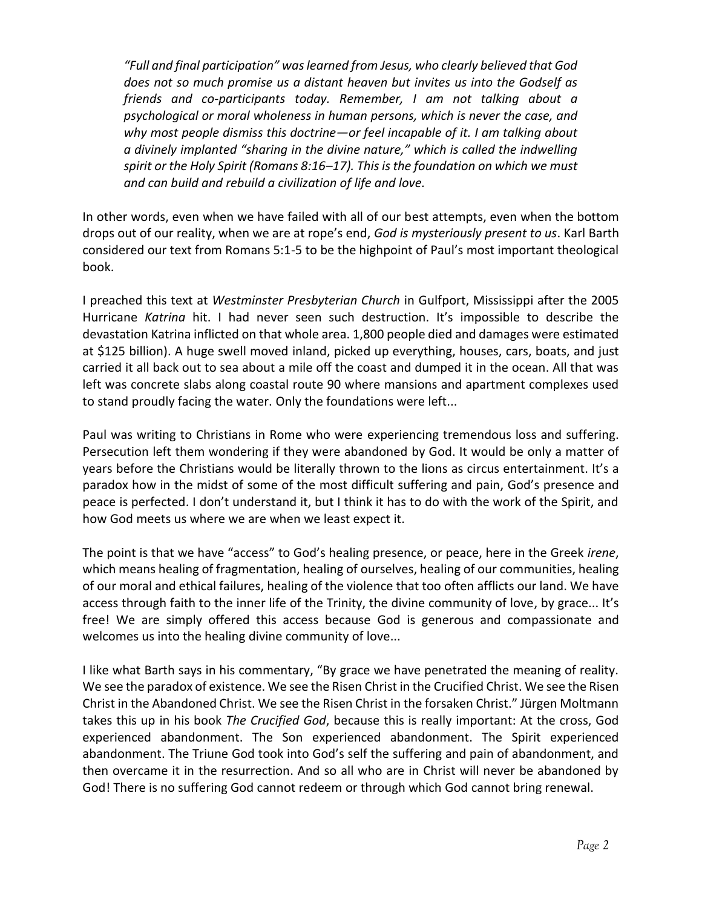*"Full and final participation" was learned from Jesus, who clearly believed that God does not so much promise us a distant heaven but invites us into the Godself as friends and co-participants today. Remember, I am not talking about a psychological or moral wholeness in human persons, which is never the case, and why most people dismiss this doctrine—or feel incapable of it. I am talking about a divinely implanted "sharing in the divine nature," which is called the indwelling spirit or the Holy Spirit (Romans 8:16–17). This is the foundation on which we must and can build and rebuild a civilization of life and love.*

In other words, even when we have failed with all of our best attempts, even when the bottom drops out of our reality, when we are at rope's end, *God is mysteriously present to us*. Karl Barth considered our text from Romans 5:1-5 to be the highpoint of Paul's most important theological book.

I preached this text at *Westminster Presbyterian Church* in Gulfport, Mississippi after the 2005 Hurricane *Katrina* hit. I had never seen such destruction. It's impossible to describe the devastation Katrina inflicted on that whole area. 1,800 people died and damages were estimated at \$125 billion). A huge swell moved inland, picked up everything, houses, cars, boats, and just carried it all back out to sea about a mile off the coast and dumped it in the ocean. All that was left was concrete slabs along coastal route 90 where mansions and apartment complexes used to stand proudly facing the water. Only the foundations were left...

Paul was writing to Christians in Rome who were experiencing tremendous loss and suffering. Persecution left them wondering if they were abandoned by God. It would be only a matter of years before the Christians would be literally thrown to the lions as circus entertainment. It's a paradox how in the midst of some of the most difficult suffering and pain, God's presence and peace is perfected. I don't understand it, but I think it has to do with the work of the Spirit, and how God meets us where we are when we least expect it.

The point is that we have "access" to God's healing presence, or peace, here in the Greek *irene*, which means healing of fragmentation, healing of ourselves, healing of our communities, healing of our moral and ethical failures, healing of the violence that too often afflicts our land. We have access through faith to the inner life of the Trinity, the divine community of love, by grace... It's free! We are simply offered this access because God is generous and compassionate and welcomes us into the healing divine community of love...

I like what Barth says in his commentary, "By grace we have penetrated the meaning of reality. We see the paradox of existence. We see the Risen Christ in the Crucified Christ. We see the Risen Christ in the Abandoned Christ. We see the Risen Christ in the forsaken Christ." Jürgen Moltmann takes this up in his book *The Crucified God*, because this is really important: At the cross, God experienced abandonment. The Son experienced abandonment. The Spirit experienced abandonment. The Triune God took into God's self the suffering and pain of abandonment, and then overcame it in the resurrection. And so all who are in Christ will never be abandoned by God! There is no suffering God cannot redeem or through which God cannot bring renewal.